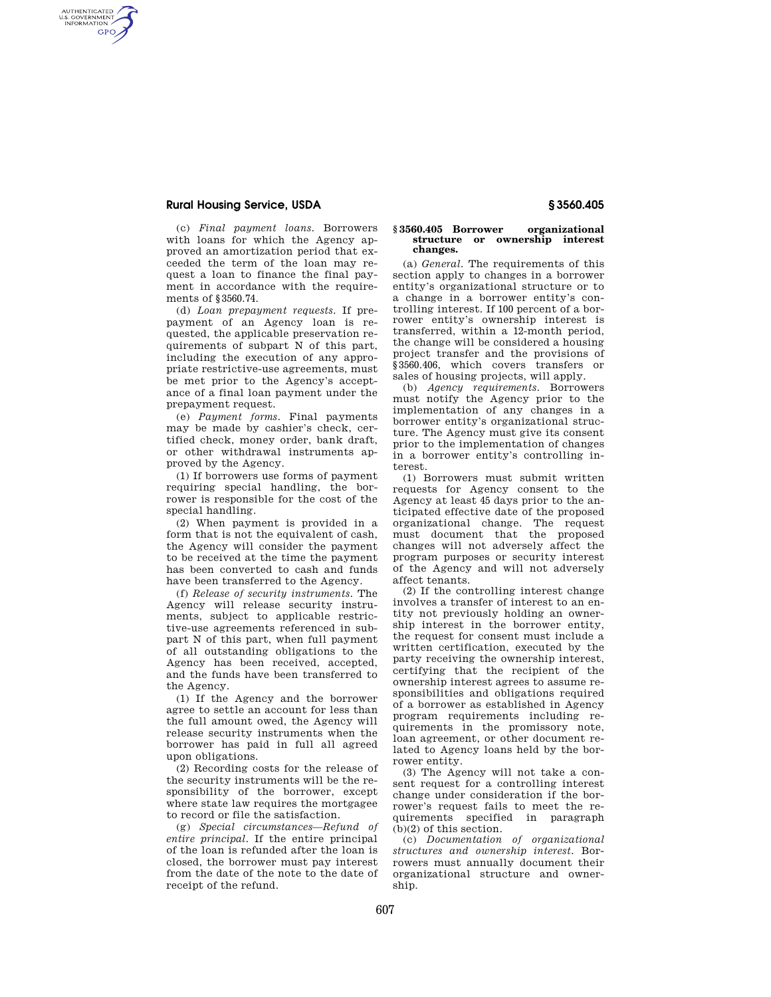## **Rural Housing Service, USDA § 3560.405**

AUTHENTICATED<br>U.S. GOVERNMENT<br>INFORMATION **GPO** 

> (c) *Final payment loans.* Borrowers with loans for which the Agency approved an amortization period that exceeded the term of the loan may request a loan to finance the final payment in accordance with the requirements of §3560.74.

> (d) *Loan prepayment requests.* If prepayment of an Agency loan is requested, the applicable preservation requirements of subpart N of this part, including the execution of any appropriate restrictive-use agreements, must be met prior to the Agency's acceptance of a final loan payment under the prepayment request.

> (e) *Payment forms.* Final payments may be made by cashier's check, certified check, money order, bank draft, or other withdrawal instruments approved by the Agency.

> (1) If borrowers use forms of payment requiring special handling, the borrower is responsible for the cost of the special handling.

> (2) When payment is provided in a form that is not the equivalent of cash, the Agency will consider the payment to be received at the time the payment has been converted to cash and funds have been transferred to the Agency.

> (f) *Release of security instruments.* The Agency will release security instruments, subject to applicable restrictive-use agreements referenced in subpart N of this part, when full payment of all outstanding obligations to the Agency has been received, accepted, and the funds have been transferred to the Agency.

> (1) If the Agency and the borrower agree to settle an account for less than the full amount owed, the Agency will release security instruments when the borrower has paid in full all agreed upon obligations.

> (2) Recording costs for the release of the security instruments will be the responsibility of the borrower, except where state law requires the mortgagee to record or file the satisfaction.

> (g) *Special circumstances—Refund of entire principal.* If the entire principal of the loan is refunded after the loan is closed, the borrower must pay interest from the date of the note to the date of receipt of the refund.

## **§ 3560.405 Borrower organizational structure or ownership interest changes.**

(a) *General.* The requirements of this section apply to changes in a borrower entity's organizational structure or to a change in a borrower entity's controlling interest. If 100 percent of a borrower entity's ownership interest is transferred, within a 12-month period, the change will be considered a housing project transfer and the provisions of §3560.406, which covers transfers or sales of housing projects, will apply.

(b) *Agency requirements.* Borrowers must notify the Agency prior to the implementation of any changes in a borrower entity's organizational structure. The Agency must give its consent prior to the implementation of changes in a borrower entity's controlling interest.

(1) Borrowers must submit written requests for Agency consent to the Agency at least 45 days prior to the anticipated effective date of the proposed organizational change. The request must document that the proposed changes will not adversely affect the program purposes or security interest of the Agency and will not adversely affect tenants.

(2) If the controlling interest change involves a transfer of interest to an entity not previously holding an ownership interest in the borrower entity, the request for consent must include a written certification, executed by the party receiving the ownership interest, certifying that the recipient of the ownership interest agrees to assume responsibilities and obligations required of a borrower as established in Agency program requirements including requirements in the promissory note, loan agreement, or other document related to Agency loans held by the borrower entity.

(3) The Agency will not take a consent request for a controlling interest change under consideration if the borrower's request fails to meet the requirements specified in paragraph (b)(2) of this section.

(c) *Documentation of organizational structures and ownership interest.* Borrowers must annually document their organizational structure and ownership.